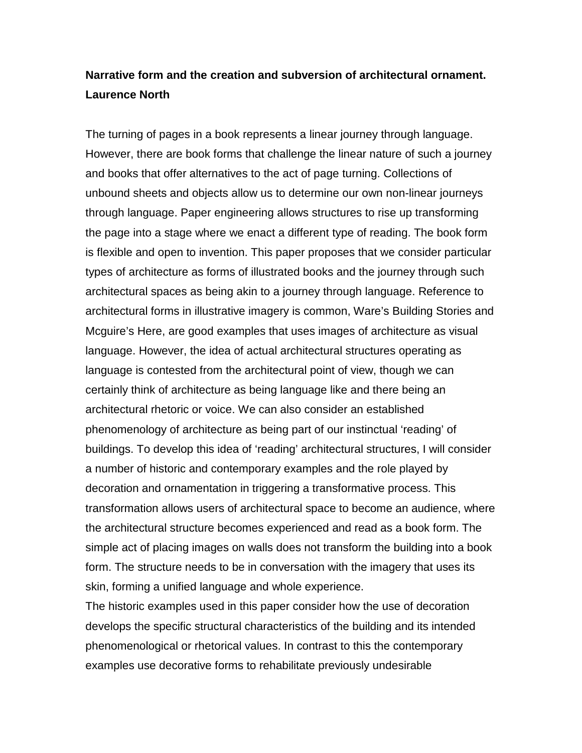# **Narrative form and the creation and subversion of architectural ornament. Laurence North**

The turning of pages in a book represents a linear journey through language. However, there are book forms that challenge the linear nature of such a journey and books that offer alternatives to the act of page turning. Collections of unbound sheets and objects allow us to determine our own non-linear journeys through language. Paper engineering allows structures to rise up transforming the page into a stage where we enact a different type of reading. The book form is flexible and open to invention. This paper proposes that we consider particular types of architecture as forms of illustrated books and the journey through such architectural spaces as being akin to a journey through language. Reference to architectural forms in illustrative imagery is common, Ware's Building Stories and Mcguire's Here, are good examples that uses images of architecture as visual language. However, the idea of actual architectural structures operating as language is contested from the architectural point of view, though we can certainly think of architecture as being language like and there being an architectural rhetoric or voice. We can also consider an established phenomenology of architecture as being part of our instinctual 'reading' of buildings. To develop this idea of 'reading' architectural structures, I will consider a number of historic and contemporary examples and the role played by decoration and ornamentation in triggering a transformative process. This transformation allows users of architectural space to become an audience, where the architectural structure becomes experienced and read as a book form. The simple act of placing images on walls does not transform the building into a book form. The structure needs to be in conversation with the imagery that uses its skin, forming a unified language and whole experience.

The historic examples used in this paper consider how the use of decoration develops the specific structural characteristics of the building and its intended phenomenological or rhetorical values. In contrast to this the contemporary examples use decorative forms to rehabilitate previously undesirable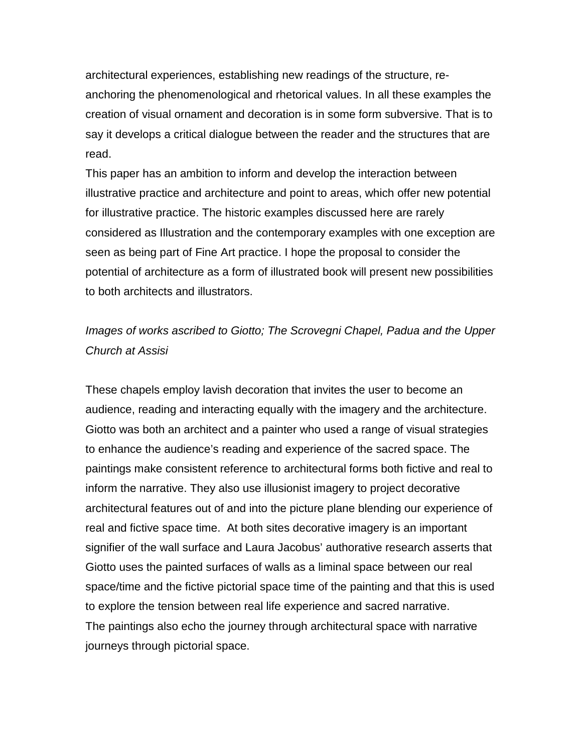architectural experiences, establishing new readings of the structure, reanchoring the phenomenological and rhetorical values. In all these examples the creation of visual ornament and decoration is in some form subversive. That is to say it develops a critical dialogue between the reader and the structures that are read.

This paper has an ambition to inform and develop the interaction between illustrative practice and architecture and point to areas, which offer new potential for illustrative practice. The historic examples discussed here are rarely considered as Illustration and the contemporary examples with one exception are seen as being part of Fine Art practice. I hope the proposal to consider the potential of architecture as a form of illustrated book will present new possibilities to both architects and illustrators.

# *Images of works ascribed to Giotto; The Scrovegni Chapel, Padua and the Upper Church at Assisi*

These chapels employ lavish decoration that invites the user to become an audience, reading and interacting equally with the imagery and the architecture. Giotto was both an architect and a painter who used a range of visual strategies to enhance the audience's reading and experience of the sacred space. The paintings make consistent reference to architectural forms both fictive and real to inform the narrative. They also use illusionist imagery to project decorative architectural features out of and into the picture plane blending our experience of real and fictive space time. At both sites decorative imagery is an important signifier of the wall surface and Laura Jacobus' authorative research asserts that Giotto uses the painted surfaces of walls as a liminal space between our real space/time and the fictive pictorial space time of the painting and that this is used to explore the tension between real life experience and sacred narrative. The paintings also echo the journey through architectural space with narrative journeys through pictorial space.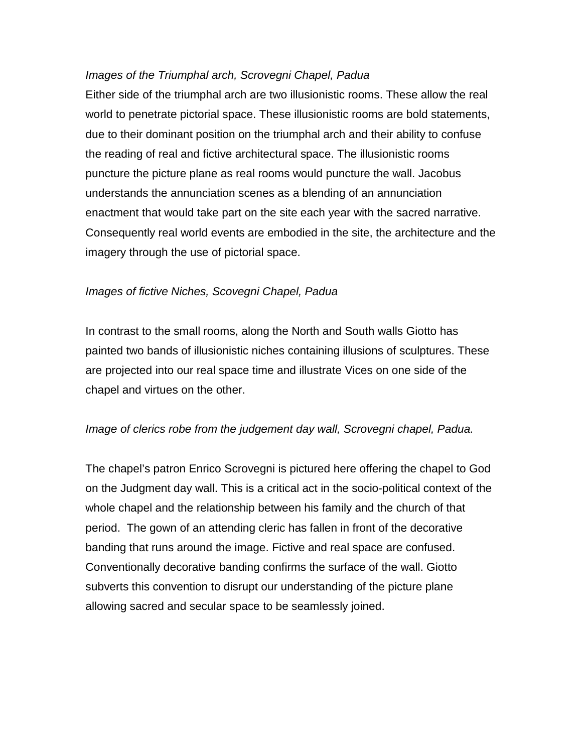## *Images of the Triumphal arch, Scrovegni Chapel, Padua*

Either side of the triumphal arch are two illusionistic rooms. These allow the real world to penetrate pictorial space. These illusionistic rooms are bold statements, due to their dominant position on the triumphal arch and their ability to confuse the reading of real and fictive architectural space. The illusionistic rooms puncture the picture plane as real rooms would puncture the wall. Jacobus understands the annunciation scenes as a blending of an annunciation enactment that would take part on the site each year with the sacred narrative. Consequently real world events are embodied in the site, the architecture and the imagery through the use of pictorial space.

## *Images of fictive Niches, Scovegni Chapel, Padua*

In contrast to the small rooms, along the North and South walls Giotto has painted two bands of illusionistic niches containing illusions of sculptures. These are projected into our real space time and illustrate Vices on one side of the chapel and virtues on the other.

### *Image of clerics robe from the judgement day wall, Scrovegni chapel, Padua.*

The chapel's patron Enrico Scrovegni is pictured here offering the chapel to God on the Judgment day wall. This is a critical act in the socio-political context of the whole chapel and the relationship between his family and the church of that period. The gown of an attending cleric has fallen in front of the decorative banding that runs around the image. Fictive and real space are confused. Conventionally decorative banding confirms the surface of the wall. Giotto subverts this convention to disrupt our understanding of the picture plane allowing sacred and secular space to be seamlessly joined.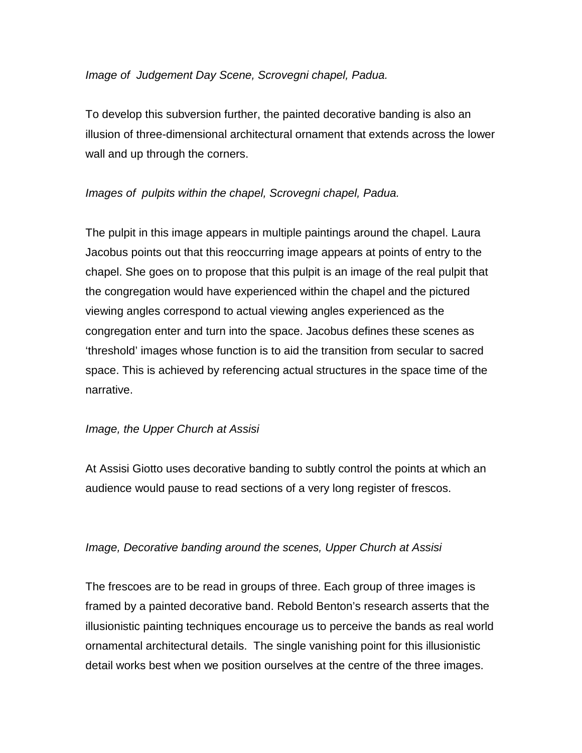## *Image of Judgement Day Scene, Scrovegni chapel, Padua.*

To develop this subversion further, the painted decorative banding is also an illusion of three-dimensional architectural ornament that extends across the lower wall and up through the corners.

# *Images of pulpits within the chapel, Scrovegni chapel, Padua.*

The pulpit in this image appears in multiple paintings around the chapel. Laura Jacobus points out that this reoccurring image appears at points of entry to the chapel. She goes on to propose that this pulpit is an image of the real pulpit that the congregation would have experienced within the chapel and the pictured viewing angles correspond to actual viewing angles experienced as the congregation enter and turn into the space. Jacobus defines these scenes as 'threshold' images whose function is to aid the transition from secular to sacred space. This is achieved by referencing actual structures in the space time of the narrative.

### *Image, the Upper Church at Assisi*

At Assisi Giotto uses decorative banding to subtly control the points at which an audience would pause to read sections of a very long register of frescos.

### *Image, Decorative banding around the scenes, Upper Church at Assisi*

The frescoes are to be read in groups of three. Each group of three images is framed by a painted decorative band. Rebold Benton's research asserts that the illusionistic painting techniques encourage us to perceive the bands as real world ornamental architectural details. The single vanishing point for this illusionistic detail works best when we position ourselves at the centre of the three images.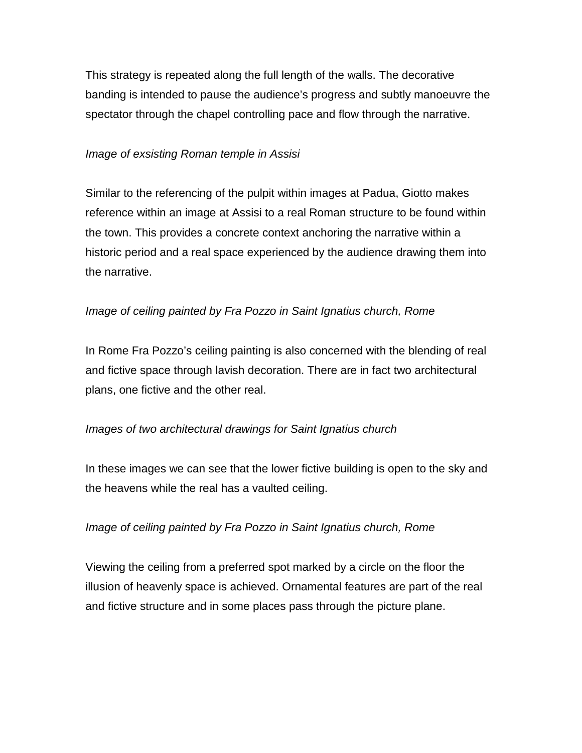This strategy is repeated along the full length of the walls. The decorative banding is intended to pause the audience's progress and subtly manoeuvre the spectator through the chapel controlling pace and flow through the narrative.

## *Image of exsisting Roman temple in Assisi*

Similar to the referencing of the pulpit within images at Padua, Giotto makes reference within an image at Assisi to a real Roman structure to be found within the town. This provides a concrete context anchoring the narrative within a historic period and a real space experienced by the audience drawing them into the narrative.

# *Image of ceiling painted by Fra Pozzo in Saint Ignatius church, Rome*

In Rome Fra Pozzo's ceiling painting is also concerned with the blending of real and fictive space through lavish decoration. There are in fact two architectural plans, one fictive and the other real.

# *Images of two architectural drawings for Saint Ignatius church*

In these images we can see that the lower fictive building is open to the sky and the heavens while the real has a vaulted ceiling.

# *Image of ceiling painted by Fra Pozzo in Saint Ignatius church, Rome*

Viewing the ceiling from a preferred spot marked by a circle on the floor the illusion of heavenly space is achieved. Ornamental features are part of the real and fictive structure and in some places pass through the picture plane.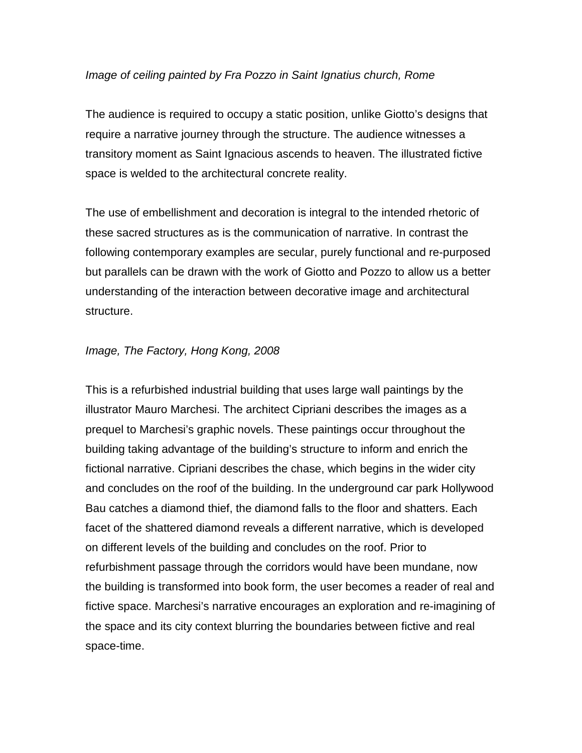### *Image of ceiling painted by Fra Pozzo in Saint Ignatius church, Rome*

The audience is required to occupy a static position, unlike Giotto's designs that require a narrative journey through the structure. The audience witnesses a transitory moment as Saint Ignacious ascends to heaven. The illustrated fictive space is welded to the architectural concrete reality.

The use of embellishment and decoration is integral to the intended rhetoric of these sacred structures as is the communication of narrative. In contrast the following contemporary examples are secular, purely functional and re-purposed but parallels can be drawn with the work of Giotto and Pozzo to allow us a better understanding of the interaction between decorative image and architectural structure.

## *Image, The Factory, Hong Kong, 2008*

This is a refurbished industrial building that uses large wall paintings by the illustrator Mauro Marchesi. The architect Cipriani describes the images as a prequel to Marchesi's graphic novels. These paintings occur throughout the building taking advantage of the building's structure to inform and enrich the fictional narrative. Cipriani describes the chase, which begins in the wider city and concludes on the roof of the building. In the underground car park Hollywood Bau catches a diamond thief, the diamond falls to the floor and shatters. Each facet of the shattered diamond reveals a different narrative, which is developed on different levels of the building and concludes on the roof. Prior to refurbishment passage through the corridors would have been mundane, now the building is transformed into book form, the user becomes a reader of real and fictive space. Marchesi's narrative encourages an exploration and re-imagining of the space and its city context blurring the boundaries between fictive and real space-time.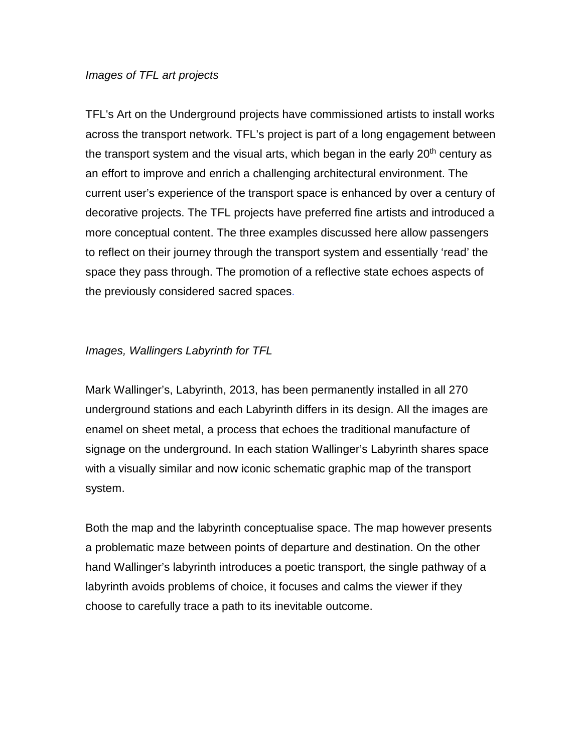#### *Images of TFL art projects*

TFL's Art on the Underground projects have commissioned artists to install works across the transport network. TFL's project is part of a long engagement between the transport system and the visual arts, which began in the early  $20<sup>th</sup>$  century as an effort to improve and enrich a challenging architectural environment. The current user's experience of the transport space is enhanced by over a century of decorative projects. The TFL projects have preferred fine artists and introduced a more conceptual content. The three examples discussed here allow passengers to reflect on their journey through the transport system and essentially 'read' the space they pass through. The promotion of a reflective state echoes aspects of the previously considered sacred spaces.

## *Images, Wallingers Labyrinth for TFL*

Mark Wallinger's, Labyrinth, 2013, has been permanently installed in all 270 underground stations and each Labyrinth differs in its design. All the images are enamel on sheet metal, a process that echoes the traditional manufacture of signage on the underground. In each station Wallinger's Labyrinth shares space with a visually similar and now iconic schematic graphic map of the transport system.

Both the map and the labyrinth conceptualise space. The map however presents a problematic maze between points of departure and destination. On the other hand Wallinger's labyrinth introduces a poetic transport, the single pathway of a labyrinth avoids problems of choice, it focuses and calms the viewer if they choose to carefully trace a path to its inevitable outcome.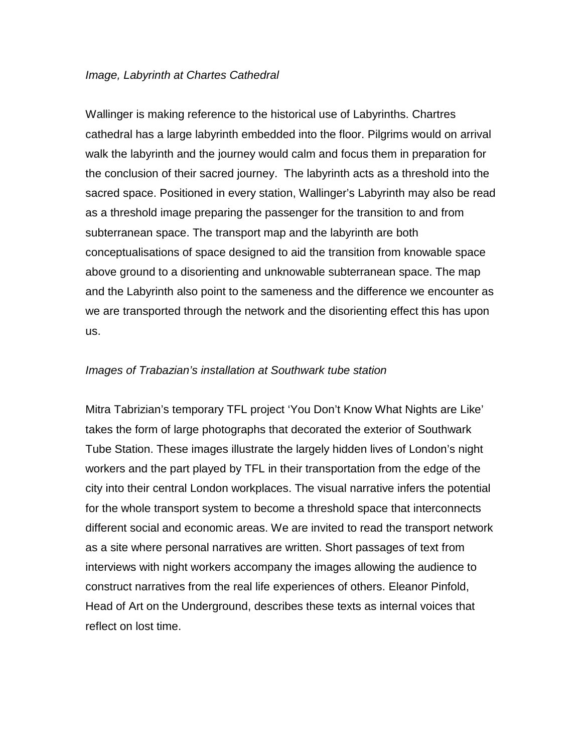#### *Image, Labyrinth at Chartes Cathedral*

Wallinger is making reference to the historical use of Labyrinths. Chartres cathedral has a large labyrinth embedded into the floor. Pilgrims would on arrival walk the labyrinth and the journey would calm and focus them in preparation for the conclusion of their sacred journey. The labyrinth acts as a threshold into the sacred space. Positioned in every station, Wallinger's Labyrinth may also be read as a threshold image preparing the passenger for the transition to and from subterranean space. The transport map and the labyrinth are both conceptualisations of space designed to aid the transition from knowable space above ground to a disorienting and unknowable subterranean space. The map and the Labyrinth also point to the sameness and the difference we encounter as we are transported through the network and the disorienting effect this has upon us.

#### *Images of Trabazian's installation at Southwark tube station*

Mitra Tabrizian's temporary TFL project 'You Don't Know What Nights are Like' takes the form of large photographs that decorated the exterior of Southwark Tube Station. These images illustrate the largely hidden lives of London's night workers and the part played by TFL in their transportation from the edge of the city into their central London workplaces. The visual narrative infers the potential for the whole transport system to become a threshold space that interconnects different social and economic areas. We are invited to read the transport network as a site where personal narratives are written. Short passages of text from interviews with night workers accompany the images allowing the audience to construct narratives from the real life experiences of others. Eleanor Pinfold, Head of Art on the Underground, describes these texts as internal voices that reflect on lost time.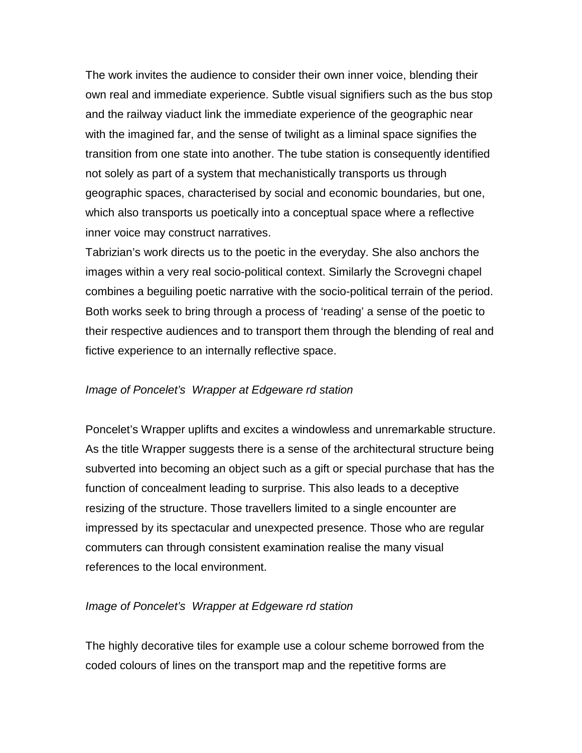The work invites the audience to consider their own inner voice, blending their own real and immediate experience. Subtle visual signifiers such as the bus stop and the railway viaduct link the immediate experience of the geographic near with the imagined far, and the sense of twilight as a liminal space signifies the transition from one state into another. The tube station is consequently identified not solely as part of a system that mechanistically transports us through geographic spaces, characterised by social and economic boundaries, but one, which also transports us poetically into a conceptual space where a reflective inner voice may construct narratives.

Tabrizian's work directs us to the poetic in the everyday. She also anchors the images within a very real socio-political context. Similarly the Scrovegni chapel combines a beguiling poetic narrative with the socio-political terrain of the period. Both works seek to bring through a process of 'reading' a sense of the poetic to their respective audiences and to transport them through the blending of real and fictive experience to an internally reflective space.

### *Image of Poncelet's Wrapper at Edgeware rd station*

Poncelet's Wrapper uplifts and excites a windowless and unremarkable structure. As the title Wrapper suggests there is a sense of the architectural structure being subverted into becoming an object such as a gift or special purchase that has the function of concealment leading to surprise. This also leads to a deceptive resizing of the structure. Those travellers limited to a single encounter are impressed by its spectacular and unexpected presence. Those who are regular commuters can through consistent examination realise the many visual references to the local environment.

### *Image of Poncelet's Wrapper at Edgeware rd station*

The highly decorative tiles for example use a colour scheme borrowed from the coded colours of lines on the transport map and the repetitive forms are